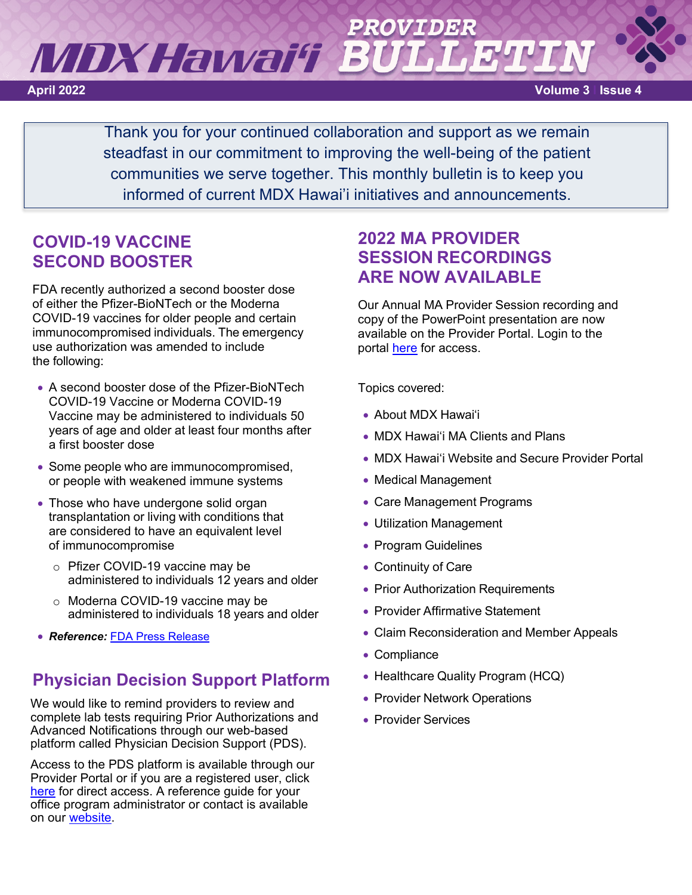# MDX Hawai'i 'B **April 2022 Volume 3 l Issue 4**

Thank you for your continued collaboration and support as we remain steadfast in our commitment to improving the well-being of the patient communities we serve together. This monthly bulletin is to keep you informed of current MDX Hawai'i initiatives and announcements.

## **COVID-19 VACCINE SECOND BOOSTER**

FDA recently authorized a second booster dose of either the Pfizer-BioNTech or the Moderna COVID-19 vaccines for older people and certain immunocompromised individuals. The emergency use authorization was amended to include the following:

- A second booster dose of the Pfizer-BioNTech COVID-19 Vaccine or Moderna COVID-19 Vaccine may be administered to individuals 50 years of age and older at least four months after a first booster dose
- Some people who are immunocompromised, or people with weakened immune systems
- Those who have undergone solid organ transplantation or living with conditions that are considered to have an equivalent level of immunocompromise
	- o Pfizer COVID-19 vaccine may be administered to individuals 12 years and older
	- o Moderna COVID-19 vaccine may be administered to individuals 18 years and older
- *Reference:* [FDA Press Release](https://www.fda.gov/news-events/press-announcements/coronavirus-covid-19-update-fda-authorizes-second-booster-dose-two-covid-19-vaccines-older-and)

## **Physician Decision Support Platform**

We would like to remind providers to review and complete lab tests requiring Prior Authorizations and Advanced Notifications through our web-based platform called Physician Decision Support (PDS).

Access to the PDS platform is available through our Provider Portal or if you are a registered user, click [here](https://www.beaconlbs.com/lbm-ui/login) for direct access. A reference guide for your office program administrator or contact is available on our [website.](https://www.mdxhawaii.com/upload/pdfs/mdx-hawaii-lab-benefit-mgmt-program-administrative-guide.pdf)

## **2022 MA PROVIDER SESSION RECORDINGS ARE NOW AVAILABLE**

Our Annual MA Provider Session recording and copy of the PowerPoint presentation are now available on the Provider Portal. Login to the portal [here](https://hi.coreportal.com/Login_new.aspx) for access.

Topics covered:

- About MDX Hawai'i
- MDX Hawai'i MA Clients and Plans
- MDX Hawai'i Website and Secure Provider Portal
- Medical Management
- Care Management Programs
- Utilization Management
- Program Guidelines
- Continuity of Care
- Prior Authorization Requirements
- Provider Affirmative Statement
- Claim Reconsideration and Member Appeals
- Compliance
- Healthcare Quality Program (HCQ)
- Provider Network Operations
- Provider Services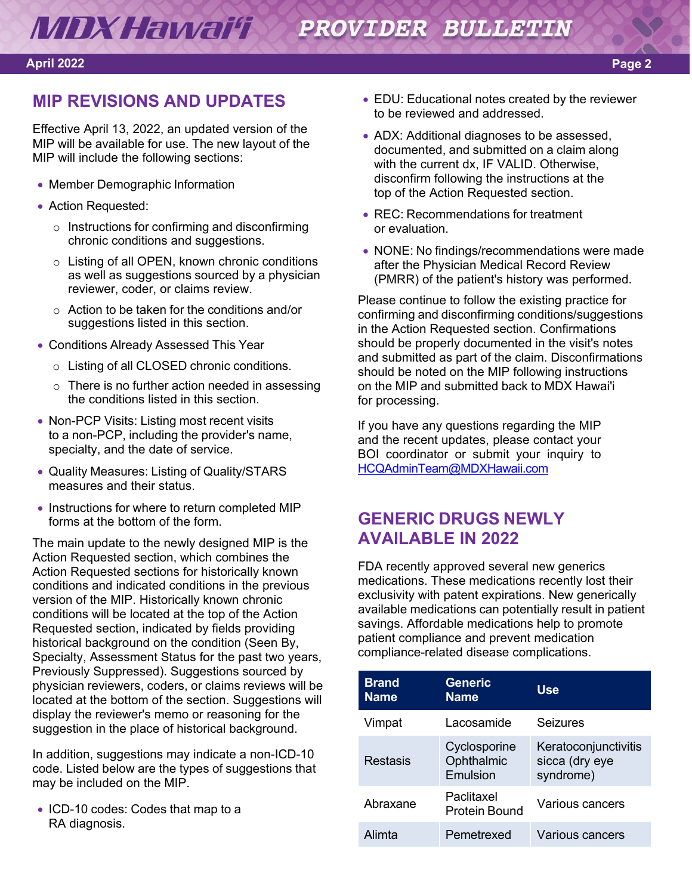### **April 2022 Page 2**

## **MIP REVISIONS AND UPDATES**

Effective April 13, 2022, an updated version of the MIP will be available for use. The new layout of the MIP will include the following sections:

- Member Demographic Information
- Action Requested:
	- o Instructions for confirming and disconfirming chronic conditions and suggestions.
	- o Listing of all OPEN, known chronic conditions as well as suggestions sourced by a physician reviewer, coder, or claims review.
	- o Action to be taken for the conditions and/or suggestions listed in this section.
- Conditions Already Assessed This Year
	- o Listing of all CLOSED chronic conditions.
	- o There is no further action needed in assessing the conditions listed in this section.
- Non-PCP Visits: Listing most recent visits to a non-PCP, including the provider's name, specialty, and the date of service.
- Quality Measures: Listing of Quality/STARS measures and their status.
- Instructions for where to return completed MIP forms at the bottom of the form.

The main update to the newly designed MIP is the Action Requested section, which combines the Action Requested sections for historically known conditions and indicated conditions in the previous version of the MIP. Historically known chronic conditions will be located at the top of the Action Requested section, indicated by fields providing historical background on the condition (Seen By, Specialty, Assessment Status for the past two years, Previously Suppressed). Suggestions sourced by physician reviewers, coders, or claims reviews will be located at the bottom of the section. Suggestions will display the reviewer's memo or reasoning for the suggestion in the place of historical background.

In addition, suggestions may indicate a non-ICD-10 code. Listed below are the types of suggestions that may be included on the MIP.

• ICD-10 codes: Codes that map to a RA diagnosis.

- EDU: Educational notes created by the reviewer to be reviewed and addressed.
- ADX: Additional diagnoses to be assessed, documented, and submitted on a claim along with the current dx, IF VALID. Otherwise, disconfirm following the instructions at the top of the Action Requested section.
- REC: Recommendations for treatment or evaluation.
- NONE: No findings/recommendations were made after the Physician Medical Record Review (PMRR) of the patient's history was performed.

Please continue to follow the existing practice for confirming and disconfirming conditions/suggestions in the Action Requested section. Confirmations should be properly documented in the visit's notes and submitted as part of the claim. Disconfirmations should be noted on the MIP following instructions on the MIP and submitted back to MDX Hawai'i for processing.

If you have any questions regarding the MIP and the recent updates, please contact your BOI coordinator or submit your inquiry to [HCQAdminTeam@MDXHawaii.com](mailto:HCQAdminTeam@MDXHawaii.com)

## **GENERIC DRUGS NEWLY AVAILABLE IN 2022**

FDA recently approved several new generics medications. These medications recently lost their exclusivity with patent expirations. New generically available medications can potentially result in patient savings. Affordable medications help to promote patient compliance and prevent medication compliance-related disease complications.

| <b>Brand</b><br><b>Name</b> | <b>Generic</b><br><b>Name</b>          | Use                                                 |
|-----------------------------|----------------------------------------|-----------------------------------------------------|
| Vimpat                      | Lacosamide                             | Seizures                                            |
| Restasis                    | Cyclosporine<br>Ophthalmic<br>Emulsion | Keratoconjunctivitis<br>sicca (dry eye<br>syndrome) |
| Abraxane                    | Paclitaxel<br>Protein Bound            | Various cancers                                     |
| Alimta                      | Pemetrexed                             | Various cancers                                     |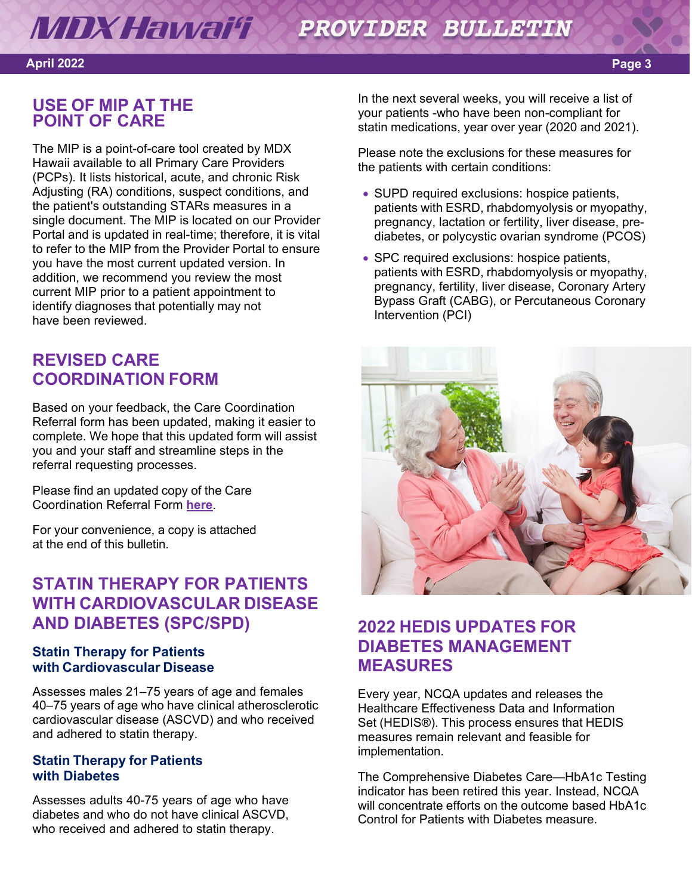### **MDX Hawai'i** PROVIDER BULLETIN

### **April 2022 Page 3**

## **USE OF MIP AT THE POINT OF CARE**

The MIP is a point-of-care tool created by MDX Hawaii available to all Primary Care Providers (PCPs). It lists historical, acute, and chronic Risk Adjusting (RA) conditions, suspect conditions, and the patient's outstanding STARs measures in a single document. The MIP is located on our Provider Portal and is updated in real-time; therefore, it is vital to refer to the MIP from the Provider Portal to ensure you have the most current updated version. In addition, we recommend you review the most current MIP prior to a patient appointment to identify diagnoses that potentially may not have been reviewed.

## **REVISED CARE COORDINATION FORM**

Based on your feedback, the Care Coordination Referral form has been updated, making it easier to complete. We hope that this updated form will assist you and your staff and streamline steps in the referral requesting processes.

Please find an updated copy of the Care Coordination Referral Form **[here](https://www.mdxhawaii.com/Upload/MDXHawaiiCareCoordinationReferralForm_040122.pdf)**.

For your convenience, a copy is attached at the end of this bulletin.

## **STATIN THERAPY FOR PATIENTS WITH CARDIOVASCULAR DISEASE AND DIABETES (SPC/SPD)**

### **Statin Therapy for Patients with Cardiovascular Disease**

Assesses males 21–75 years of age and females 40–75 years of age who have clinical atherosclerotic cardiovascular disease (ASCVD) and who received and adhered to statin therapy.

### **Statin Therapy for Patients with Diabetes**

Assesses adults 40-75 years of age who have diabetes and who do not have clinical ASCVD, who received and adhered to statin therapy.

In the next several weeks, you will receive a list of your patients -who have been non-compliant for statin medications, year over year (2020 and 2021).

Please note the exclusions for these measures for the patients with certain conditions:

- SUPD required exclusions: hospice patients, patients with ESRD, rhabdomyolysis or myopathy, pregnancy, lactation or fertility, liver disease, prediabetes, or polycystic ovarian syndrome (PCOS)
- SPC required exclusions: hospice patients, patients with ESRD, rhabdomyolysis or myopathy, pregnancy, fertility, liver disease, Coronary Artery Bypass Graft (CABG), or Percutaneous Coronary Intervention (PCI)



## **2022 HEDIS UPDATES FOR DIABETES MANAGEMENT MEASURES**

Every year, NCQA updates and releases the Healthcare Effectiveness Data and Information Set (HEDIS®). This process ensures that HEDIS measures remain relevant and feasible for implementation.

The Comprehensive Diabetes Care—HbA1c Testing indicator has been retired this year. Instead, NCQA will concentrate efforts on the outcome based HbA1c Control for Patients with Diabetes measure.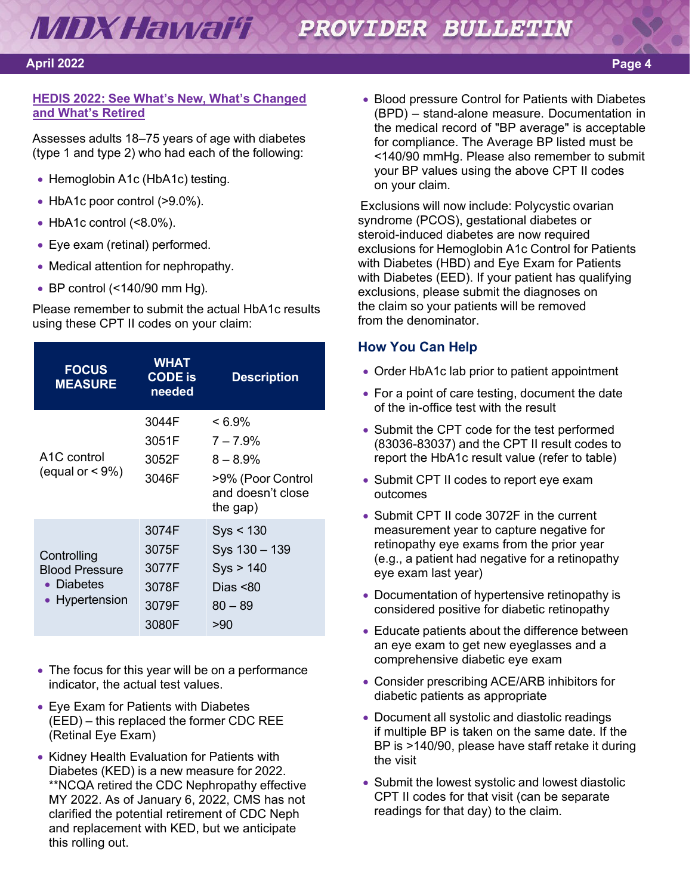### **MDX Hawai'i** PROVIDER BULLETIN

### **April 2022 Page 4**

### **HEDIS 2022: See What's New, What's [Changed](https://www.ncqa.org/blog/hedis-2022-see-whats-new-whats-changed-and-whats-retired/) [and What's Retired](https://www.ncqa.org/blog/hedis-2022-see-whats-new-whats-changed-and-whats-retired/)**

Assesses adults 18–75 years of age with diabetes (type 1 and type 2) who had each of the following:

- Hemoglobin A1c (HbA1c) testing.
- HbA1c poor control (>9.0%).
- $\bullet$  HbA1c control (<8.0%).
- Eye exam (retinal) performed.
- Medical attention for nephropathy.
- BP control (<140/90 mm Hg).

Please remember to submit the actual HbA1c results using these CPT II codes on your claim:

| <b>FOCUS</b><br><b>MEASURE</b> | <b>WHAT</b><br><b>CODE</b> is<br>needed | <b>Description</b>                     |
|--------------------------------|-----------------------------------------|----------------------------------------|
| A <sub>1</sub> C control       | 3044F<br>3051F<br>3052F                 | $< 6.9\%$<br>$7 - 7.9%$<br>$8 - 8.9%$  |
| (equal or $\leq 9\%)$          | 3046F                                   | >9% (Poor Control<br>and doesn't close |
|                                |                                         | the gap)                               |
|                                | 3074F                                   | Sys < 130                              |
| Controlling                    | 3075F                                   | Sys 130 - 139                          |
| <b>Blood Pressure</b>          | 3077F                                   | Sys > 140                              |
| • Diabetes                     | 3078F                                   | Dias $< 80$                            |
| Hypertension                   | 3079F                                   | $80 - 89$                              |
|                                | 3080F                                   | >90                                    |

- The focus for this year will be on a performance indicator, the actual test values.
- Eye Exam for Patients with Diabetes (EED) – this replaced the former CDC REE (Retinal Eye Exam)
- Kidney Health Evaluation for Patients with Diabetes (KED) is a new measure for 2022. \*\*NCQA retired the CDC Nephropathy effective MY 2022. As of January 6, 2022, CMS has not clarified the potential retirement of CDC Neph and replacement with KED, but we anticipate this rolling out.

• Blood pressure Control for Patients with Diabetes (BPD) – stand-alone measure. Documentation in the medical record of "BP average" is acceptable for compliance. The Average BP listed must be <140/90 mmHg. Please also remember to submit your BP values using the above CPT II codes on your claim.

Exclusions will now include: Polycystic ovarian syndrome (PCOS), gestational diabetes or steroid-induced diabetes are now required exclusions for Hemoglobin A1c Control for Patients with Diabetes (HBD) and Eye Exam for Patients with Diabetes (EED). If your patient has qualifying exclusions, please submit the diagnoses on the claim so your patients will be removed from the denominator.

### **How You Can Help**

- Order HbA1c lab prior to patient appointment
- For a point of care testing, document the date of the in-office test with the result
- Submit the CPT code for the test performed (83036-83037) and the CPT II result codes to report the HbA1c result value (refer to table)
- Submit CPT II codes to report eye exam outcomes
- Submit CPT II code 3072F in the current measurement year to capture negative for retinopathy eye exams from the prior year (e.g., a patient had negative for a retinopathy eye exam last year)
- Documentation of hypertensive retinopathy is considered positive for diabetic retinopathy
- Educate patients about the difference between an eye exam to get new eyeglasses and a comprehensive diabetic eye exam
- Consider prescribing ACE/ARB inhibitors for diabetic patients as appropriate
- Document all systolic and diastolic readings if multiple BP is taken on the same date. If the BP is >140/90, please have staff retake it during the visit
- Submit the lowest systolic and lowest diastolic CPT II codes for that visit (can be separate readings for that day) to the claim.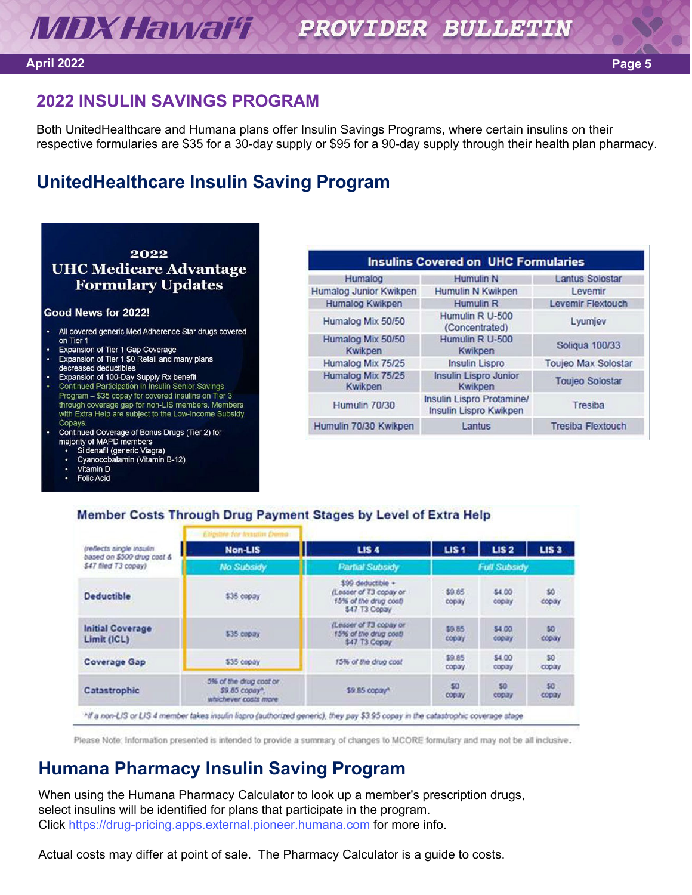### **April 2022 Page 5**

## **2022 INSULIN SAVINGS PROGRAM**

Both UnitedHealthcare and Humana plans offer Insulin Savings Programs, where certain insulins on their respective formularies are \$35 for a 30-day supply or \$95 for a 90-day supply through their health plan pharmacy.

## **UnitedHealthcare Insulin Saving Program**

## 2022 **UHC Medicare Advantage Formulary Updates**

### Good News for 2022!

- All covered generic Med Adherence Star drugs covered on Tier 1
- Expansion of Tier 1 Gap Coverage
- Expansion of Tier 1 \$0 Retail and many plans decreased deductibles
- Expansion of 100-Day Supply Rx benefit
- Continued Participation in Insulin Senior Savings Program - \$35 copay for covered insulins on Tier 3 through coverage gap for non-LIS members. Members with Extra Help are subject to the Low-Income Subsidy Copays
- Continued Coverage of Bonus Drugs (Tier 2) for majority of MAPD members
	- Sildenafil (generic Viagra)
	- Cyanocobalamin (Vitamin B-12)
	- Vitamin D **Folic Acid**
	-

| <b>Insulins Covered on UHC Formularies</b> |                                                     |                            |  |
|--------------------------------------------|-----------------------------------------------------|----------------------------|--|
| Humalog                                    | <b>Humulin N</b>                                    | <b>Lantus Solostar</b>     |  |
| Humalog Junior Kwikpen                     | Humulin N Kwikpen                                   | Levemir                    |  |
| Humalog Kwikpen                            | <b>Humulin R</b>                                    | <b>Levemir Flextouch</b>   |  |
| Humalog Mix 50/50                          | Humulin R U-500<br>(Concentrated)                   | Lyumjev                    |  |
| Humalog Mix 50/50<br>Kwikpen               | Humulin R U-500<br>Kwikpen                          | <b>Soliqua 100/33</b>      |  |
| Humalog Mix 75/25                          | <b>Insulin Lispro</b>                               | <b>Toujeo Max Solostar</b> |  |
| Humalog Mix 75/25<br>Kwikpen               | <b>Insulin Lispro Junior</b><br>Kwikpen             | <b>Toujeo Solostar</b>     |  |
| Humulin 70/30                              | Insulin Lispro Protamine/<br>Insulin Lispro Kwikpen | Tresiba                    |  |
| Humulin 70/30 Kwikpen                      | Lantus                                              | <b>Tresiba Flextouch</b>   |  |

### Member Costs Through Drug Payment Stages by Level of Extra Help

|                                                                                | Eligible for Instalin Demo:                                       |                                                                                      |                     |                 |                  |
|--------------------------------------------------------------------------------|-------------------------------------------------------------------|--------------------------------------------------------------------------------------|---------------------|-----------------|------------------|
| (reflects single insulin<br>based on \$500 drug cost &<br>\$47 filed T3 copay) | <b>Non-LIS</b>                                                    | <b>LIS4</b>                                                                          | LIS <sub>1</sub>    | <b>LIS2</b>     | LIS <sub>3</sub> |
|                                                                                | <b>No Subsidy</b>                                                 | <b>Partial Subsidy</b>                                                               | <b>Full Subsidy</b> |                 |                  |
| <b>Deductible</b>                                                              | \$35 copay                                                        | \$99 deductible +<br>(Lesser of T3 copay or<br>15% of the drug cost)<br>547 T3 Copay | \$9.85<br>copay     | \$4.00<br>copay | \$0<br>copay     |
| <b>Initial Coverage</b><br>Limit (ICL)                                         | \$35 copay                                                        | (Lesser of T3 copay or<br>15% of the drug cost!<br>\$47 T3 Copay                     | \$9.85<br>copay.    | \$4.00<br>copay | 50<br>copay      |
| <b>Coverage Gap</b>                                                            | \$35 copay                                                        | 15% of the drug cost                                                                 | \$9.85<br>copay     | \$4.00<br>copay | 50<br>copay      |
| Catastrophic                                                                   | 5% of the drug coat or.<br>\$9.85 copay".<br>whichever costs more | \$9.85 copav*                                                                        | \$0<br>copay        | 50<br>copay     | 50<br>copay      |

Please Note: Information presented is intended to provide a summary of changes to MCORE formulary and may not be all inclusive.

## **Humana Pharmacy Insulin Saving Program**

When using the Humana Pharmacy Calculator to look up a member's prescription drugs, select insulins will be identified for plans that participate in the program. Click [https://drug-pricing.apps.external.pioneer.humana.com fo](https://drug-pricing.apps.external.pioneer.humana.com/)r more info.

Actual costs may differ at point of sale. The Pharmacy Calculator is a guide to costs.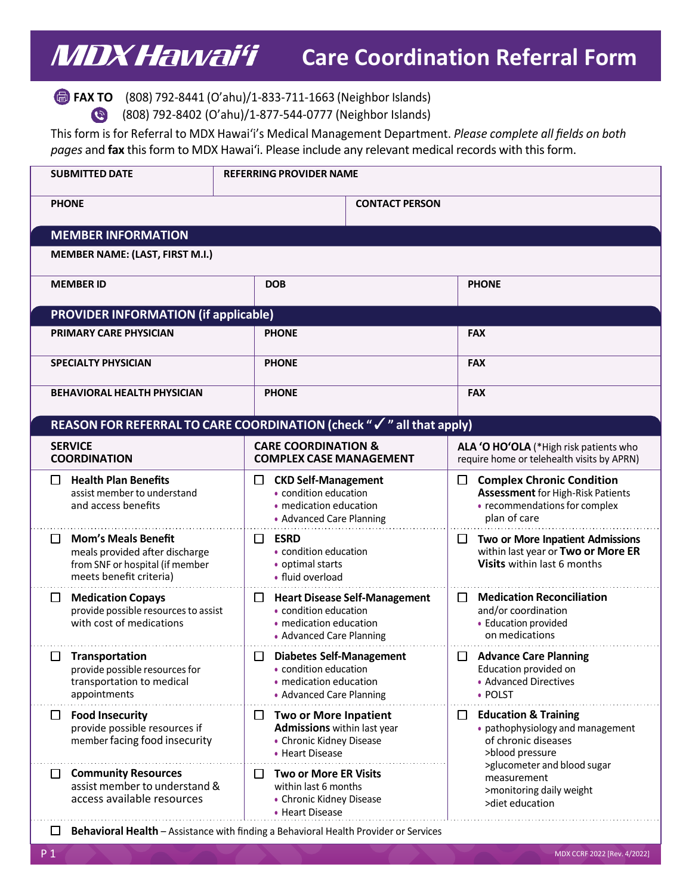## MDXHawai'i **Care Coordination Referral Form**

**FAX TO** (808) 792-8441 (O'ahu)/1-833-711-1663 (Neighbor Islands)

(808) 792-8402 (O'ahu)/1-877-544-0777 (Neighbor Islands)  $\bullet$ 

This form is for Referral to MDX Hawai'i's Medical Management Department. *Please complete all fields on both*  pages and fax this form to MDX Hawai'i. Please include any relevant medical records with this form.

| <b>SUBMITTED DATE</b>                                                                                                           | <b>REFERRING PROVIDER NAME</b>                                                                                         |                                                                                                                                    |  |  |  |
|---------------------------------------------------------------------------------------------------------------------------------|------------------------------------------------------------------------------------------------------------------------|------------------------------------------------------------------------------------------------------------------------------------|--|--|--|
| <b>PHONE</b>                                                                                                                    | <b>CONTACT PERSON</b>                                                                                                  |                                                                                                                                    |  |  |  |
| <b>MEMBER INFORMATION</b>                                                                                                       |                                                                                                                        |                                                                                                                                    |  |  |  |
| MEMBER NAME: (LAST, FIRST M.I.)                                                                                                 |                                                                                                                        |                                                                                                                                    |  |  |  |
| <b>MEMBER ID</b>                                                                                                                | <b>DOB</b>                                                                                                             | <b>PHONE</b>                                                                                                                       |  |  |  |
| <b>PROVIDER INFORMATION (if applicable)</b>                                                                                     |                                                                                                                        |                                                                                                                                    |  |  |  |
| <b>PRIMARY CARE PHYSICIAN</b>                                                                                                   | <b>PHONE</b>                                                                                                           | <b>FAX</b>                                                                                                                         |  |  |  |
| <b>SPECIALTY PHYSICIAN</b>                                                                                                      | <b>PHONE</b>                                                                                                           | <b>FAX</b>                                                                                                                         |  |  |  |
| <b>BEHAVIORAL HEALTH PHYSICIAN</b>                                                                                              | <b>PHONE</b>                                                                                                           | <b>FAX</b>                                                                                                                         |  |  |  |
|                                                                                                                                 | REASON FOR REFERRAL TO CARE COORDINATION (check " $\checkmark$ " all that apply)                                       |                                                                                                                                    |  |  |  |
| <b>SERVICE</b><br><b>COORDINATION</b>                                                                                           | <b>CARE COORDINATION &amp;</b><br><b>COMPLEX CASE MANAGEMENT</b>                                                       | ALA 'O HO'OLA (*High risk patients who<br>require home or telehealth visits by APRN)                                               |  |  |  |
| <b>Health Plan Benefits</b><br>ப<br>assist member to understand<br>and access benefits                                          | <b>CKD Self-Management</b><br>□<br>• condition education<br>• medication education<br>• Advanced Care Planning         | <b>Complex Chronic Condition</b><br>ப<br><b>Assessment</b> for High-Risk Patients<br>• recommendations for complex<br>plan of care |  |  |  |
| <b>Mom's Meals Benefit</b><br>□<br>meals provided after discharge<br>from SNF or hospital (if member<br>meets benefit criteria) | $\Box$<br><b>ESRD</b><br>• condition education<br>• optimal starts<br>• fluid overload                                 | Two or More Inpatient Admissions<br>□<br>within last year or Two or More ER<br>Visits within last 6 months                         |  |  |  |
| <b>Medication Copays</b><br>$\Box$<br>provide possible resources to assist<br>with cost of medications                          | $\Box$ Heart Disease Self-Management<br>• condition education<br>• medication education<br>• Advanced Care Planning    | <b>Medication Reconciliation</b><br>ப<br>and/or coordination<br>• Education provided<br>on medications                             |  |  |  |
| Transportation<br>ப<br>provide possible resources for<br>transportation to medical<br>appointments                              | <b>Diabetes Self-Management</b><br>ப<br>• condition education<br>· medication education<br>• Advanced Care Planning    | <b>Advance Care Planning</b><br>ப<br>Education provided on<br>• Advanced Directives<br>• POLST                                     |  |  |  |
| <b>Food Insecurity</b><br>ப<br>provide possible resources if<br>member facing food insecurity                                   | <b>Two or More Inpatient</b><br>⊔<br><b>Admissions</b> within last year<br>• Chronic Kidney Disease<br>• Heart Disease | <b>Education &amp; Training</b><br>$\Box$<br>• pathophysiology and management<br>of chronic diseases<br>>blood pressure            |  |  |  |
| <b>Community Resources</b><br>ப<br>assist member to understand &<br>access available resources                                  | <b>Two or More ER Visits</b><br>ப<br>within last 6 months<br>• Chronic Kidney Disease<br>• Heart Disease               | >glucometer and blood sugar<br>measurement<br>>monitoring daily weight<br>>diet education                                          |  |  |  |
| ப                                                                                                                               | Behavioral Health - Assistance with finding a Behavioral Health Provider or Services                                   |                                                                                                                                    |  |  |  |